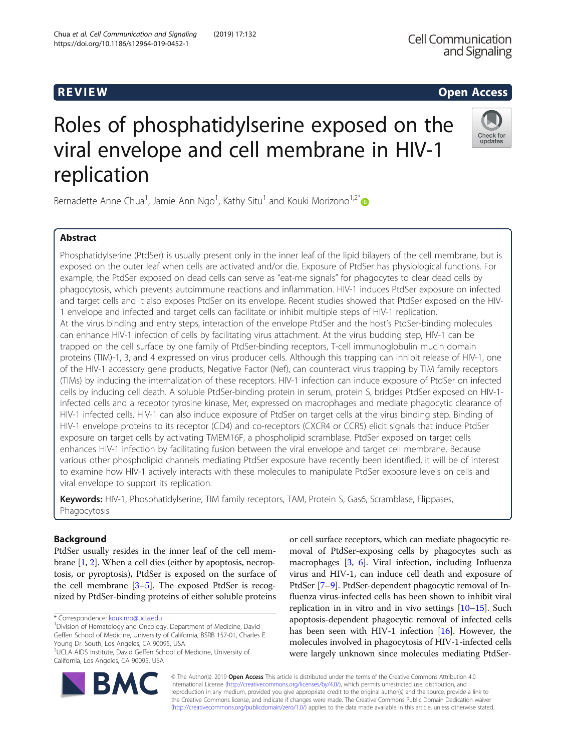# Roles of phosphatidylserine exposed on the viral envelope and cell membrane in HIV-1 replication

Bernadette Anne Chua<sup>1</sup>, Jamie Ann Ngo<sup>1</sup>, Kathy Situ<sup>1</sup> and Kouki Morizono<sup>1,2\*</sup>

## Abstract

Phosphatidylserine (PtdSer) is usually present only in the inner leaf of the lipid bilayers of the cell membrane, but is exposed on the outer leaf when cells are activated and/or die. Exposure of PtdSer has physiological functions. For example, the PtdSer exposed on dead cells can serve as "eat-me signals" for phagocytes to clear dead cells by phagocytosis, which prevents autoimmune reactions and inflammation. HIV-1 induces PtdSer exposure on infected and target cells and it also exposes PtdSer on its envelope. Recent studies showed that PtdSer exposed on the HIV-1 envelope and infected and target cells can facilitate or inhibit multiple steps of HIV-1 replication. At the virus binding and entry steps, interaction of the envelope PtdSer and the host's PtdSer-binding molecules can enhance HIV-1 infection of cells by facilitating virus attachment. At the virus budding step, HIV-1 can be trapped on the cell surface by one family of PtdSer-binding receptors, T-cell immunoglobulin mucin domain proteins (TIM)-1, 3, and 4 expressed on virus producer cells. Although this trapping can inhibit release of HIV-1, one of the HIV-1 accessory gene products, Negative Factor (Nef), can counteract virus trapping by TIM family receptors (TIMs) by inducing the internalization of these receptors. HIV-1 infection can induce exposure of PtdSer on infected cells by inducing cell death. A soluble PtdSer-binding protein in serum, protein S, bridges PtdSer exposed on HIV-1 infected cells and a receptor tyrosine kinase, Mer, expressed on macrophages and mediate phagocytic clearance of HIV-1 infected cells. HIV-1 can also induce exposure of PtdSer on target cells at the virus binding step. Binding of HIV-1 envelope proteins to its receptor (CD4) and co-receptors (CXCR4 or CCR5) elicit signals that induce PtdSer exposure on target cells by activating TMEM16F, a phospholipid scramblase. PtdSer exposed on target cells enhances HIV-1 infection by facilitating fusion between the viral envelope and target cell membrane. Because various other phospholipid channels mediating PtdSer exposure have recently been identified, it will be of interest to examine how HIV-1 actively interacts with these molecules to manipulate PtdSer exposure levels on cells and viral envelope to support its replication.

Keywords: HIV-1, Phosphatidylserine, TIM family receptors, TAM, Protein S, Gas6, Scramblase, Flippases, Phagocytosis

## Background

PtdSer usually resides in the inner leaf of the cell membrane [\[1,](#page-7-0) [2](#page-7-0)]. When a cell dies (either by apoptosis, necroptosis, or pyroptosis), PtdSer is exposed on the surface of the cell membrane  $[3-5]$  $[3-5]$  $[3-5]$  $[3-5]$ . The exposed PtdSer is recognized by PtdSer-binding proteins of either soluble proteins

\* Correspondence: [koukimo@ucla.edu](mailto:koukimo@ucla.edu) <sup>1</sup>

2 UCLA AIDS Institute, David Geffen School of Medicine, University of California, Los Angeles, CA 90095, USA

> © The Author(s). 2019 Open Access This article is distributed under the terms of the Creative Commons Attribution 4.0 International License [\(http://creativecommons.org/licenses/by/4.0/](http://creativecommons.org/licenses/by/4.0/)), which permits unrestricted use, distribution, and reproduction in any medium, provided you give appropriate credit to the original author(s) and the source, provide a link to the Creative Commons license, and indicate if changes were made. The Creative Commons Public Domain Dedication waiver [\(http://creativecommons.org/publicdomain/zero/1.0/](http://creativecommons.org/publicdomain/zero/1.0/)) applies to the data made available in this article, unless otherwise stated.

or cell surface receptors, which can mediate phagocytic removal of PtdSer-exposing cells by phagocytes such as macrophages [\[3](#page-7-0), [6](#page-7-0)]. Viral infection, including Influenza virus and HIV-1, can induce cell death and exposure of PtdSer [\[7](#page-7-0)–[9\]](#page-7-0). PtdSer-dependent phagocytic removal of Influenza virus-infected cells has been shown to inhibit viral replication in in vitro and in vivo settings [[10](#page-7-0)–[15\]](#page-7-0). Such apoptosis-dependent phagocytic removal of infected cells has been seen with HIV-1 infection [[16](#page-7-0)]. However, the molecules involved in phagocytosis of HIV-1-infected cells were largely unknown since molecules mediating PtdSer-

and Signaling

**Cell Communication** 





<sup>&</sup>lt;sup>1</sup> Division of Hematology and Oncology, Department of Medicine, David Geffen School of Medicine, University of California, BSRB 157-01, Charles E. Young Dr. South, Los Angeles, CA 90095, USA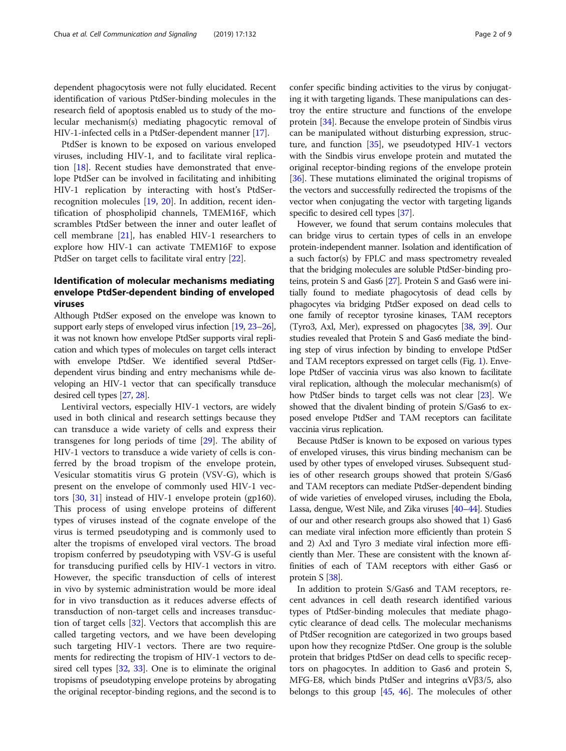dependent phagocytosis were not fully elucidated. Recent identification of various PtdSer-binding molecules in the research field of apoptosis enabled us to study of the molecular mechanism(s) mediating phagocytic removal of HIV-1-infected cells in a PtdSer-dependent manner [[17](#page-7-0)].

PtdSer is known to be exposed on various enveloped viruses, including HIV-1, and to facilitate viral replication [\[18](#page-7-0)]. Recent studies have demonstrated that envelope PtdSer can be involved in facilitating and inhibiting HIV-1 replication by interacting with host's PtdSerrecognition molecules [\[19](#page-7-0), [20\]](#page-7-0). In addition, recent identification of phospholipid channels, TMEM16F, which scrambles PtdSer between the inner and outer leaflet of cell membrane [[21\]](#page-7-0), has enabled HIV-1 researchers to explore how HIV-1 can activate TMEM16F to expose PtdSer on target cells to facilitate viral entry [[22](#page-7-0)].

## Identification of molecular mechanisms mediating envelope PtdSer-dependent binding of enveloped viruses

Although PtdSer exposed on the envelope was known to support early steps of enveloped virus infection [[19](#page-7-0), [23](#page-7-0)–[26](#page-7-0)], it was not known how envelope PtdSer supports viral replication and which types of molecules on target cells interact with envelope PtdSer. We identified several PtdSerdependent virus binding and entry mechanisms while developing an HIV-1 vector that can specifically transduce desired cell types [[27](#page-7-0), [28](#page-7-0)].

Lentiviral vectors, especially HIV-1 vectors, are widely used in both clinical and research settings because they can transduce a wide variety of cells and express their transgenes for long periods of time [[29\]](#page-7-0). The ability of HIV-1 vectors to transduce a wide variety of cells is conferred by the broad tropism of the envelope protein, Vesicular stomatitis virus G protein (VSV-G), which is present on the envelope of commonly used HIV-1 vectors [\[30,](#page-7-0) [31](#page-7-0)] instead of HIV-1 envelope protein (gp160). This process of using envelope proteins of different types of viruses instead of the cognate envelope of the virus is termed pseudotyping and is commonly used to alter the tropisms of enveloped viral vectors. The broad tropism conferred by pseudotyping with VSV-G is useful for transducing purified cells by HIV-1 vectors in vitro. However, the specific transduction of cells of interest in vivo by systemic administration would be more ideal for in vivo transduction as it reduces adverse effects of transduction of non-target cells and increases transduction of target cells [\[32](#page-7-0)]. Vectors that accomplish this are called targeting vectors, and we have been developing such targeting HIV-1 vectors. There are two requirements for redirecting the tropism of HIV-1 vectors to desired cell types [\[32,](#page-7-0) [33](#page-7-0)]. One is to eliminate the original tropisms of pseudotyping envelope proteins by abrogating the original receptor-binding regions, and the second is to confer specific binding activities to the virus by conjugating it with targeting ligands. These manipulations can destroy the entire structure and functions of the envelope protein [\[34](#page-7-0)]. Because the envelope protein of Sindbis virus can be manipulated without disturbing expression, structure, and function  $[35]$  $[35]$  $[35]$ , we pseudotyped HIV-1 vectors with the Sindbis virus envelope protein and mutated the original receptor-binding regions of the envelope protein [[36](#page-7-0)]. These mutations eliminated the original tropisms of the vectors and successfully redirected the tropisms of the vector when conjugating the vector with targeting ligands specific to desired cell types [\[37\]](#page-7-0).

However, we found that serum contains molecules that can bridge virus to certain types of cells in an envelope protein-independent manner. Isolation and identification of a such factor(s) by FPLC and mass spectrometry revealed that the bridging molecules are soluble PtdSer-binding proteins, protein S and Gas6 [[27\]](#page-7-0). Protein S and Gas6 were initially found to mediate phagocytosis of dead cells by phagocytes via bridging PtdSer exposed on dead cells to one family of receptor tyrosine kinases, TAM receptors (Tyro3, Axl, Mer), expressed on phagocytes [[38,](#page-7-0) [39](#page-7-0)]. Our studies revealed that Protein S and Gas6 mediate the binding step of virus infection by binding to envelope PtdSer and TAM receptors expressed on target cells (Fig. [1](#page-2-0)). Envelope PtdSer of vaccinia virus was also known to facilitate viral replication, although the molecular mechanism(s) of how PtdSer binds to target cells was not clear [[23\]](#page-7-0). We showed that the divalent binding of protein S/Gas6 to exposed envelope PtdSer and TAM receptors can facilitate vaccinia virus replication.

Because PtdSer is known to be exposed on various types of enveloped viruses, this virus binding mechanism can be used by other types of enveloped viruses. Subsequent studies of other research groups showed that protein S/Gas6 and TAM receptors can mediate PtdSer-dependent binding of wide varieties of enveloped viruses, including the Ebola, Lassa, dengue, West Nile, and Zika viruses [\[40](#page-7-0)–[44](#page-8-0)]. Studies of our and other research groups also showed that 1) Gas6 can mediate viral infection more efficiently than protein S and 2) Axl and Tyro 3 mediate viral infection more efficiently than Mer. These are consistent with the known affinities of each of TAM receptors with either Gas6 or protein S [\[38](#page-7-0)].

In addition to protein S/Gas6 and TAM receptors, recent advances in cell death research identified various types of PtdSer-binding molecules that mediate phagocytic clearance of dead cells. The molecular mechanisms of PtdSer recognition are categorized in two groups based upon how they recognize PtdSer. One group is the soluble protein that bridges PtdSer on dead cells to specific receptors on phagocytes. In addition to Gas6 and protein S, MFG-E8, which binds PtdSer and integrins  $αVβ3/5$ , also belongs to this group [\[45](#page-8-0), [46](#page-8-0)]. The molecules of other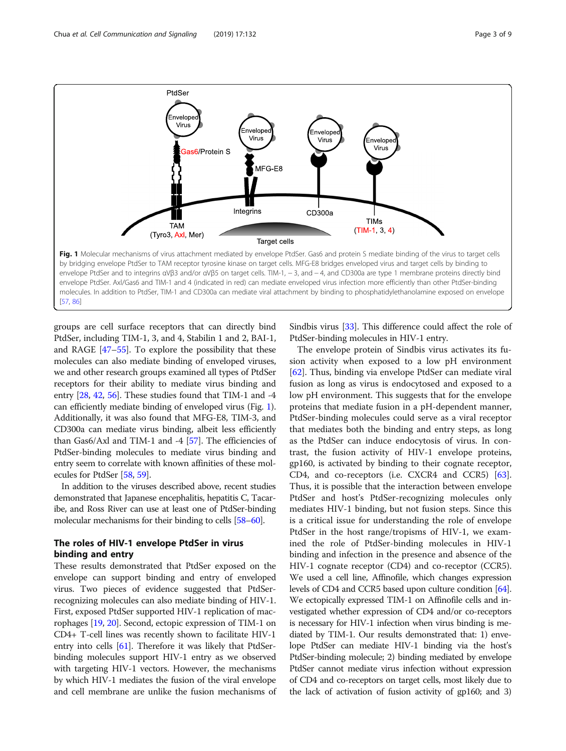<span id="page-2-0"></span>

groups are cell surface receptors that can directly bind PtdSer, including TIM-1, 3, and 4, Stabilin 1 and 2, BAI-1, and RAGE [[47](#page-8-0)–[55\]](#page-8-0). To explore the possibility that these molecules can also mediate binding of enveloped viruses, we and other research groups examined all types of PtdSer receptors for their ability to mediate virus binding and entry [[28](#page-7-0), [42,](#page-8-0) [56\]](#page-8-0). These studies found that TIM-1 and -4 can efficiently mediate binding of enveloped virus (Fig. 1). Additionally, it was also found that MFG-E8, TIM-3, and CD300a can mediate virus binding, albeit less efficiently than Gas6/Axl and TIM-1 and -4  $[57]$ . The efficiencies of PtdSer-binding molecules to mediate virus binding and entry seem to correlate with known affinities of these molecules for PtdSer [[58,](#page-8-0) [59\]](#page-8-0).

In addition to the viruses described above, recent studies demonstrated that Japanese encephalitis, hepatitis C, Tacaribe, and Ross River can use at least one of PtdSer-binding molecular mechanisms for their binding to cells [\[58](#page-8-0)–[60\]](#page-8-0).

## The roles of HIV-1 envelope PtdSer in virus binding and entry

These results demonstrated that PtdSer exposed on the envelope can support binding and entry of enveloped virus. Two pieces of evidence suggested that PtdSerrecognizing molecules can also mediate binding of HIV-1. First, exposed PtdSer supported HIV-1 replication of macrophages [\[19,](#page-7-0) [20](#page-7-0)]. Second, ectopic expression of TIM-1 on CD4+ T-cell lines was recently shown to facilitate HIV-1 entry into cells [\[61](#page-8-0)]. Therefore it was likely that PtdSerbinding molecules support HIV-1 entry as we observed with targeting HIV-1 vectors. However, the mechanisms by which HIV-1 mediates the fusion of the viral envelope and cell membrane are unlike the fusion mechanisms of Sindbis virus [\[33\]](#page-7-0). This difference could affect the role of PtdSer-binding molecules in HIV-1 entry.

The envelope protein of Sindbis virus activates its fusion activity when exposed to a low pH environment [[62\]](#page-8-0). Thus, binding via envelope PtdSer can mediate viral fusion as long as virus is endocytosed and exposed to a low pH environment. This suggests that for the envelope proteins that mediate fusion in a pH-dependent manner, PtdSer-binding molecules could serve as a viral receptor that mediates both the binding and entry steps, as long as the PtdSer can induce endocytosis of virus. In contrast, the fusion activity of HIV-1 envelope proteins, gp160, is activated by binding to their cognate receptor, CD4, and co-receptors (i.e. CXCR4 and CCR5) [\[63](#page-8-0)]. Thus, it is possible that the interaction between envelope PtdSer and host's PtdSer-recognizing molecules only mediates HIV-1 binding, but not fusion steps. Since this is a critical issue for understanding the role of envelope PtdSer in the host range/tropisms of HIV-1, we examined the role of PtdSer-binding molecules in HIV-1 binding and infection in the presence and absence of the HIV-1 cognate receptor (CD4) and co-receptor (CCR5). We used a cell line, Affinofile, which changes expression levels of CD4 and CCR5 based upon culture condition [\[64](#page-8-0)]. We ectopically expressed TIM-1 on Affinofile cells and investigated whether expression of CD4 and/or co-receptors is necessary for HIV-1 infection when virus binding is mediated by TIM-1. Our results demonstrated that: 1) envelope PtdSer can mediate HIV-1 binding via the host's PtdSer-binding molecule; 2) binding mediated by envelope PtdSer cannot mediate virus infection without expression of CD4 and co-receptors on target cells, most likely due to the lack of activation of fusion activity of gp160; and 3)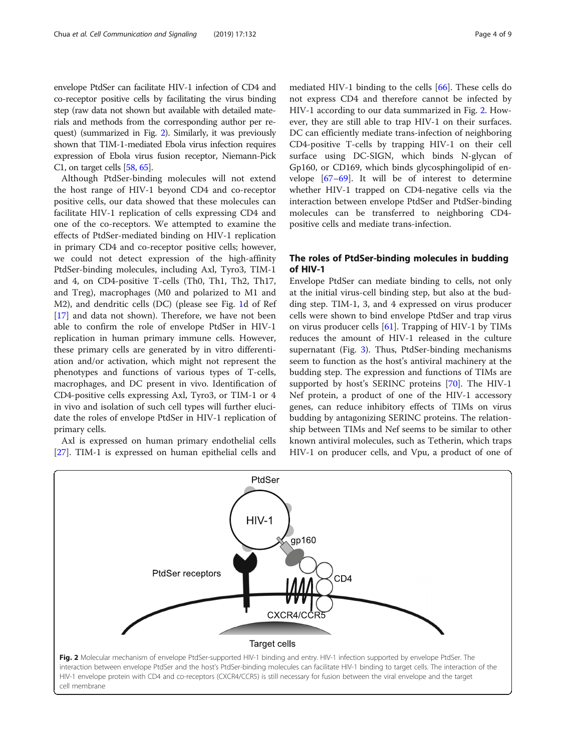envelope PtdSer can facilitate HIV-1 infection of CD4 and co-receptor positive cells by facilitating the virus binding step (raw data not shown but available with detailed materials and methods from the corresponding author per request) (summarized in Fig. 2). Similarly, it was previously shown that TIM-1-mediated Ebola virus infection requires expression of Ebola virus fusion receptor, Niemann-Pick C1, on target cells [[58](#page-8-0), [65](#page-8-0)].

Although PtdSer-binding molecules will not extend the host range of HIV-1 beyond CD4 and co-receptor positive cells, our data showed that these molecules can facilitate HIV-1 replication of cells expressing CD4 and one of the co-receptors. We attempted to examine the effects of PtdSer-mediated binding on HIV-1 replication in primary CD4 and co-receptor positive cells; however, we could not detect expression of the high-affinity PtdSer-binding molecules, including Axl, Tyro3, TIM-1 and 4, on CD4-positive T-cells (Th0, Th1, Th2, Th17, and Treg), macrophages (M0 and polarized to M1 and M2), and dendritic cells (DC) (please see Fig. [1](#page-2-0)d of Ref [[17\]](#page-7-0) and data not shown). Therefore, we have not been able to confirm the role of envelope PtdSer in HIV-1 replication in human primary immune cells. However, these primary cells are generated by in vitro differentiation and/or activation, which might not represent the phenotypes and functions of various types of T-cells, macrophages, and DC present in vivo. Identification of CD4-positive cells expressing Axl, Tyro3, or TIM-1 or 4 in vivo and isolation of such cell types will further elucidate the roles of envelope PtdSer in HIV-1 replication of primary cells.

Axl is expressed on human primary endothelial cells [[27\]](#page-7-0). TIM-1 is expressed on human epithelial cells and mediated HIV-1 binding to the cells [\[66\]](#page-8-0). These cells do not express CD4 and therefore cannot be infected by HIV-1 according to our data summarized in Fig. 2. However, they are still able to trap HIV-1 on their surfaces. DC can efficiently mediate trans-infection of neighboring CD4-positive T-cells by trapping HIV-1 on their cell surface using DC-SIGN, which binds N-glycan of Gp160, or CD169, which binds glycosphingolipid of envelope [[67](#page-8-0)–[69\]](#page-8-0). It will be of interest to determine whether HIV-1 trapped on CD4-negative cells via the interaction between envelope PtdSer and PtdSer-binding molecules can be transferred to neighboring CD4 positive cells and mediate trans-infection.

## The roles of PtdSer-binding molecules in budding of HIV-1

Envelope PtdSer can mediate binding to cells, not only at the initial virus-cell binding step, but also at the budding step. TIM-1, 3, and 4 expressed on virus producer cells were shown to bind envelope PtdSer and trap virus on virus producer cells  $[61]$  $[61]$ . Trapping of HIV-1 by TIMs reduces the amount of HIV-1 released in the culture supernatant (Fig. [3\)](#page-4-0). Thus, PtdSer-binding mechanisms seem to function as the host's antiviral machinery at the budding step. The expression and functions of TIMs are supported by host's SERINC proteins [[70\]](#page-8-0). The HIV-1 Nef protein, a product of one of the HIV-1 accessory genes, can reduce inhibitory effects of TIMs on virus budding by antagonizing SERINC proteins. The relationship between TIMs and Nef seems to be similar to other known antiviral molecules, such as Tetherin, which traps HIV-1 on producer cells, and Vpu, a product of one of

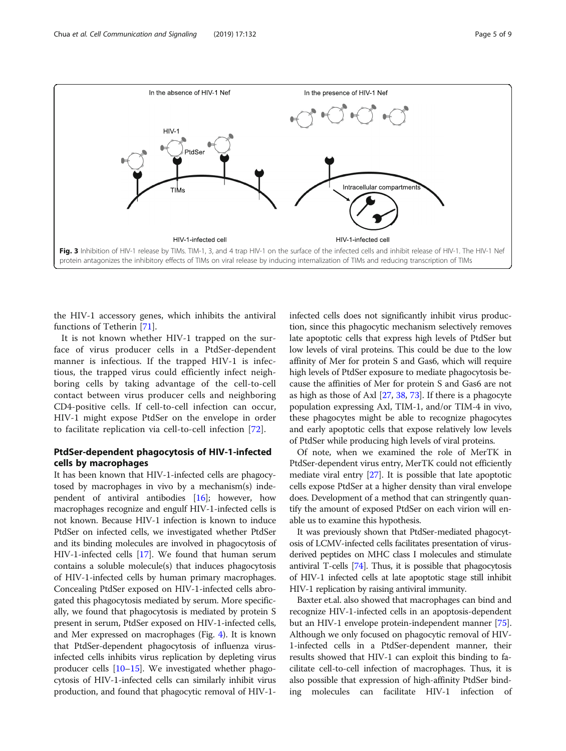<span id="page-4-0"></span>

the HIV-1 accessory genes, which inhibits the antiviral functions of Tetherin [\[71\]](#page-8-0).

It is not known whether HIV-1 trapped on the surface of virus producer cells in a PtdSer-dependent manner is infectious. If the trapped HIV-1 is infectious, the trapped virus could efficiently infect neighboring cells by taking advantage of the cell-to-cell contact between virus producer cells and neighboring CD4-positive cells. If cell-to-cell infection can occur, HIV-1 might expose PtdSer on the envelope in order to facilitate replication via cell-to-cell infection [[72\]](#page-8-0).

## PtdSer-dependent phagocytosis of HIV-1-infected cells by macrophages

It has been known that HIV-1-infected cells are phagocytosed by macrophages in vivo by a mechanism(s) independent of antiviral antibodies [\[16](#page-7-0)]; however, how macrophages recognize and engulf HIV-1-infected cells is not known. Because HIV-1 infection is known to induce PtdSer on infected cells, we investigated whether PtdSer and its binding molecules are involved in phagocytosis of HIV-1-infected cells [[17](#page-7-0)]. We found that human serum contains a soluble molecule(s) that induces phagocytosis of HIV-1-infected cells by human primary macrophages. Concealing PtdSer exposed on HIV-1-infected cells abrogated this phagocytosis mediated by serum. More specifically, we found that phagocytosis is mediated by protein S present in serum, PtdSer exposed on HIV-1-infected cells, and Mer expressed on macrophages (Fig. [4](#page-5-0)). It is known that PtdSer-dependent phagocytosis of influenza virusinfected cells inhibits virus replication by depleting virus producer cells [[10](#page-7-0)–[15\]](#page-7-0). We investigated whether phagocytosis of HIV-1-infected cells can similarly inhibit virus production, and found that phagocytic removal of HIV-1infected cells does not significantly inhibit virus production, since this phagocytic mechanism selectively removes late apoptotic cells that express high levels of PtdSer but low levels of viral proteins. This could be due to the low affinity of Mer for protein S and Gas6, which will require high levels of PtdSer exposure to mediate phagocytosis because the affinities of Mer for protein S and Gas6 are not as high as those of Axl [\[27,](#page-7-0) [38,](#page-7-0) [73](#page-8-0)]. If there is a phagocyte population expressing Axl, TIM-1, and/or TIM-4 in vivo, these phagocytes might be able to recognize phagocytes and early apoptotic cells that expose relatively low levels of PtdSer while producing high levels of viral proteins.

Of note, when we examined the role of MerTK in PtdSer-dependent virus entry, MerTK could not efficiently mediate viral entry  $[27]$ . It is possible that late apoptotic cells expose PtdSer at a higher density than viral envelope does. Development of a method that can stringently quantify the amount of exposed PtdSer on each virion will enable us to examine this hypothesis.

It was previously shown that PtdSer-mediated phagocytosis of LCMV-infected cells facilitates presentation of virusderived peptides on MHC class I molecules and stimulate antiviral T-cells [\[74](#page-8-0)]. Thus, it is possible that phagocytosis of HIV-1 infected cells at late apoptotic stage still inhibit HIV-1 replication by raising antiviral immunity.

Baxter et.al. also showed that macrophages can bind and recognize HIV-1-infected cells in an apoptosis-dependent but an HIV-1 envelope protein-independent manner [[75](#page-8-0)]. Although we only focused on phagocytic removal of HIV-1-infected cells in a PtdSer-dependent manner, their results showed that HIV-1 can exploit this binding to facilitate cell-to-cell infection of macrophages. Thus, it is also possible that expression of high-affinity PtdSer binding molecules can facilitate HIV-1 infection of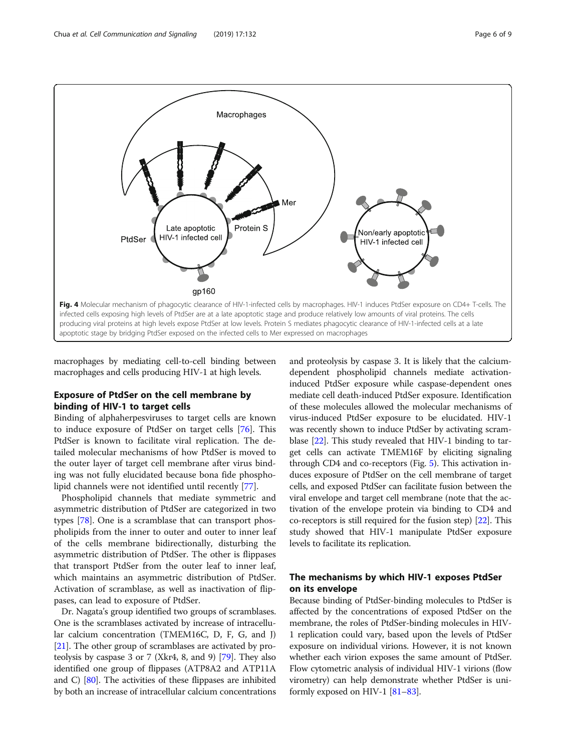<span id="page-5-0"></span>

macrophages by mediating cell-to-cell binding between macrophages and cells producing HIV-1 at high levels.

## Exposure of PtdSer on the cell membrane by binding of HIV-1 to target cells

Binding of alphaherpesviruses to target cells are known to induce exposure of PtdSer on target cells [[76\]](#page-8-0). This PtdSer is known to facilitate viral replication. The detailed molecular mechanisms of how PtdSer is moved to the outer layer of target cell membrane after virus binding was not fully elucidated because bona fide phospholipid channels were not identified until recently [\[77\]](#page-8-0).

Phospholipid channels that mediate symmetric and asymmetric distribution of PtdSer are categorized in two types [\[78](#page-8-0)]. One is a scramblase that can transport phospholipids from the inner to outer and outer to inner leaf of the cells membrane bidirectionally, disturbing the asymmetric distribution of PtdSer. The other is flippases that transport PtdSer from the outer leaf to inner leaf, which maintains an asymmetric distribution of PtdSer. Activation of scramblase, as well as inactivation of flippases, can lead to exposure of PtdSer.

Dr. Nagata's group identified two groups of scramblases. One is the scramblases activated by increase of intracellular calcium concentration (TMEM16C, D, F, G, and J) [[21](#page-7-0)]. The other group of scramblases are activated by proteolysis by caspase 3 or 7 (Xkr4, 8, and 9) [\[79\]](#page-8-0). They also identified one group of flippases (ATP8A2 and ATP11A and C) [\[80\]](#page-8-0). The activities of these flippases are inhibited by both an increase of intracellular calcium concentrations and proteolysis by caspase 3. It is likely that the calciumdependent phospholipid channels mediate activationinduced PtdSer exposure while caspase-dependent ones mediate cell death-induced PtdSer exposure. Identification of these molecules allowed the molecular mechanisms of virus-induced PtdSer exposure to be elucidated. HIV-1 was recently shown to induce PtdSer by activating scramblase [\[22\]](#page-7-0). This study revealed that HIV-1 binding to target cells can activate TMEM16F by eliciting signaling through CD4 and co-receptors (Fig. [5\)](#page-6-0). This activation induces exposure of PtdSer on the cell membrane of target cells, and exposed PtdSer can facilitate fusion between the viral envelope and target cell membrane (note that the activation of the envelope protein via binding to CD4 and co-receptors is still required for the fusion step) [\[22\]](#page-7-0). This study showed that HIV-1 manipulate PtdSer exposure levels to facilitate its replication.

## The mechanisms by which HIV-1 exposes PtdSer on its envelope

Because binding of PtdSer-binding molecules to PtdSer is affected by the concentrations of exposed PtdSer on the membrane, the roles of PtdSer-binding molecules in HIV-1 replication could vary, based upon the levels of PtdSer exposure on individual virions. However, it is not known whether each virion exposes the same amount of PtdSer. Flow cytometric analysis of individual HIV-1 virions (flow virometry) can help demonstrate whether PtdSer is uniformly exposed on HIV-1 [[81](#page-8-0)–[83](#page-8-0)].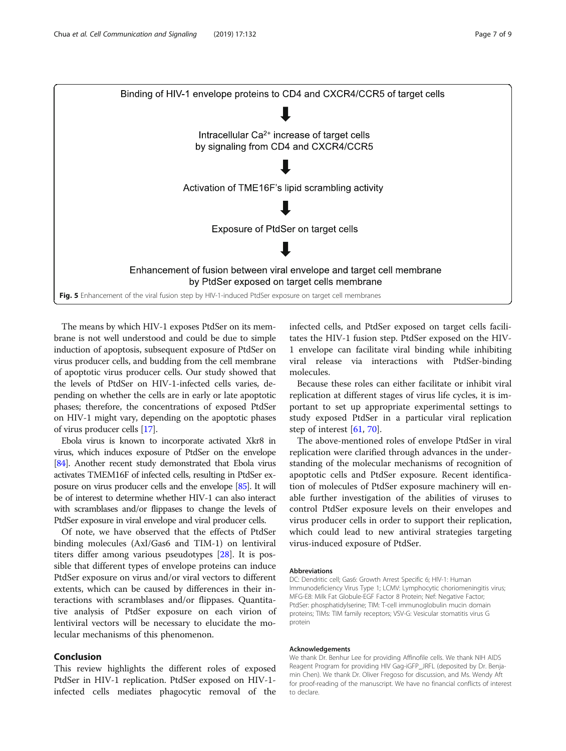<span id="page-6-0"></span>

The means by which HIV-1 exposes PtdSer on its membrane is not well understood and could be due to simple induction of apoptosis, subsequent exposure of PtdSer on virus producer cells, and budding from the cell membrane of apoptotic virus producer cells. Our study showed that the levels of PtdSer on HIV-1-infected cells varies, depending on whether the cells are in early or late apoptotic phases; therefore, the concentrations of exposed PtdSer on HIV-1 might vary, depending on the apoptotic phases of virus producer cells [\[17\]](#page-7-0).

Ebola virus is known to incorporate activated Xkr8 in virus, which induces exposure of PtdSer on the envelope [[84\]](#page-8-0). Another recent study demonstrated that Ebola virus activates TMEM16F of infected cells, resulting in PtdSer exposure on virus producer cells and the envelope [[85\]](#page-8-0). It will be of interest to determine whether HIV-1 can also interact with scramblases and/or flippases to change the levels of PtdSer exposure in viral envelope and viral producer cells.

Of note, we have observed that the effects of PtdSer binding molecules (Axl/Gas6 and TIM-1) on lentiviral titers differ among various pseudotypes [[28](#page-7-0)]. It is possible that different types of envelope proteins can induce PtdSer exposure on virus and/or viral vectors to different extents, which can be caused by differences in their interactions with scramblases and/or flippases. Quantitative analysis of PtdSer exposure on each virion of lentiviral vectors will be necessary to elucidate the molecular mechanisms of this phenomenon.

## Conclusion

This review highlights the different roles of exposed PtdSer in HIV-1 replication. PtdSer exposed on HIV-1 infected cells mediates phagocytic removal of the infected cells, and PtdSer exposed on target cells facilitates the HIV-1 fusion step. PtdSer exposed on the HIV-1 envelope can facilitate viral binding while inhibiting viral release via interactions with PtdSer-binding molecules.

Because these roles can either facilitate or inhibit viral replication at different stages of virus life cycles, it is important to set up appropriate experimental settings to study exposed PtdSer in a particular viral replication step of interest [[61,](#page-8-0) [70\]](#page-8-0).

The above-mentioned roles of envelope PtdSer in viral replication were clarified through advances in the understanding of the molecular mechanisms of recognition of apoptotic cells and PtdSer exposure. Recent identification of molecules of PtdSer exposure machinery will enable further investigation of the abilities of viruses to control PtdSer exposure levels on their envelopes and virus producer cells in order to support their replication, which could lead to new antiviral strategies targeting virus-induced exposure of PtdSer.

#### Abbreviations

DC: Dendritic cell; Gas6: Growth Arrest Specific 6; HIV-1: Human Immunodeficiency Virus Type 1; LCMV: Lymphocytic choriomeningitis virus; MFG-E8: Milk Fat Globule-EGF Factor 8 Protein; Nef: Negative Factor; PtdSer: phosphatidylserine; TIM: T-cell immunoglobulin mucin domain proteins; TIMs: TIM family receptors; VSV-G: Vesicular stomatitis virus G protein

#### Acknowledgements

We thank Dr. Benhur Lee for providing Affinofile cells. We thank NIH AIDS Reagent Program for providing HIV Gag-iGFP\_JRFL (deposited by Dr. Benjamin Chen). We thank Dr. Oliver Fregoso for discussion, and Ms. Wendy Aft for proof-reading of the manuscript. We have no financial conflicts of interest to declare.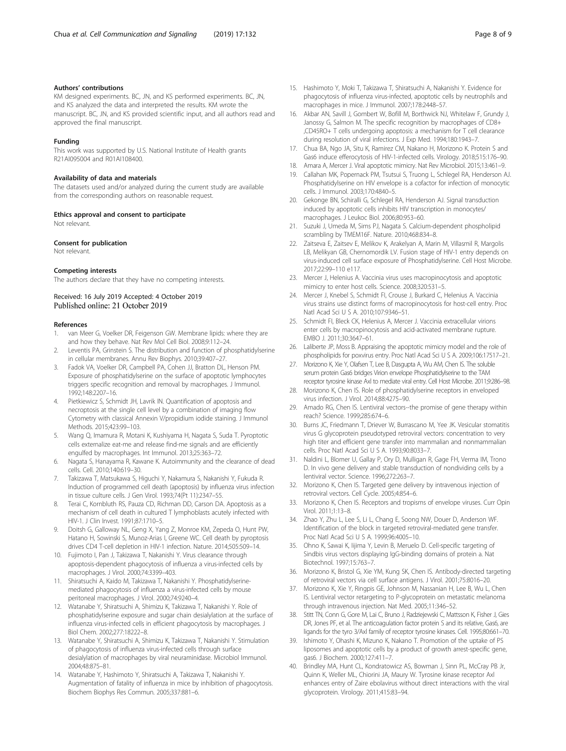#### <span id="page-7-0"></span>Authors' contributions

KM designed experiments. BC, JN, and KS performed experiments. BC, JN, and KS analyzed the data and interpreted the results. KM wrote the manuscript. BC, JN, and KS provided scientific input, and all authors read and approved the final manuscript.

#### Funding

This work was supported by U.S. National Institute of Health grants R21AI095004 and R01AI108400.

#### Availability of data and materials

The datasets used and/or analyzed during the current study are available from the corresponding authors on reasonable request.

#### Ethics approval and consent to participate

Not relevant.

#### Consent for publication

Not relevant.

### Competing interests

The authors declare that they have no competing interests.

### Received: 16 July 2019 Accepted: 4 October 2019 Published online: 21 October 2019

#### References

- 1. van Meer G, Voelker DR, Feigenson GW. Membrane lipids: where they are and how they behave. Nat Rev Mol Cell Biol. 2008;9:112–24.
- Leventis PA, Grinstein S. The distribution and function of phosphatidylserine in cellular membranes. Annu Rev Biophys. 2010;39:407–27.
- 3. Fadok VA, Voelker DR, Campbell PA, Cohen JJ, Bratton DL, Henson PM. Exposure of phosphatidylserine on the surface of apoptotic lymphocytes triggers specific recognition and removal by macrophages. J Immunol. 1992;148:2207–16.
- 4. Pietkiewicz S, Schmidt JH, Lavrik IN. Quantification of apoptosis and necroptosis at the single cell level by a combination of imaging flow Cytometry with classical Annexin V/propidium iodide staining. J Immunol Methods. 2015;423:99–103.
- 5. Wang Q, Imamura R, Motani K, Kushiyama H, Nagata S, Suda T. Pyroptotic cells externalize eat-me and release find-me signals and are efficiently engulfed by macrophages. Int Immunol. 2013;25:363–72.
- 6. Nagata S, Hanayama R, Kawane K. Autoimmunity and the clearance of dead cells. Cell. 2010;140:619–30.
- 7. Takizawa T, Matsukawa S, Higuchi Y, Nakamura S, Nakanishi Y, Fukuda R. Induction of programmed cell death (apoptosis) by influenza virus infection in tissue culture cells. J Gen Virol. 1993;74(Pt 11):2347–55.
- 8. Terai C, Kornbluth RS, Pauza CD, Richman DD, Carson DA. Apoptosis as a mechanism of cell death in cultured T lymphoblasts acutely infected with HIV-1. J Clin Invest. 1991;87:1710–5.
- Doitsh G, Galloway NL, Geng X, Yang Z, Monroe KM, Zepeda O, Hunt PW, Hatano H, Sowinski S, Munoz-Arias I, Greene WC. Cell death by pyroptosis drives CD4 T-cell depletion in HIV-1 infection. Nature. 2014;505:509–14.
- 10. Fujimoto I, Pan J, Takizawa T, Nakanishi Y. Virus clearance through apoptosis-dependent phagocytosis of influenza a virus-infected cells by macrophages. J Virol. 2000;74:3399–403.
- 11. Shiratsuchi A, Kaido M, Takizawa T, Nakanishi Y. Phosphatidylserinemediated phagocytosis of influenza a virus-infected cells by mouse peritoneal macrophages. J Virol. 2000;74:9240–4.
- 12. Watanabe Y, Shiratsuchi A, Shimizu K, Takizawa T, Nakanishi Y. Role of phosphatidylserine exposure and sugar chain desialylation at the surface of influenza virus-infected cells in efficient phagocytosis by macrophages. J Biol Chem. 2002;277:18222–8.
- 13. Watanabe Y, Shiratsuchi A, Shimizu K, Takizawa T, Nakanishi Y. Stimulation of phagocytosis of influenza virus-infected cells through surface desialylation of macrophages by viral neuraminidase. Microbiol Immunol. 2004;48:875–81.
- 14. Watanabe Y, Hashimoto Y, Shiratsuchi A, Takizawa T, Nakanishi Y. Augmentation of fatality of influenza in mice by inhibition of phagocytosis. Biochem Biophys Res Commun. 2005;337:881–6.
- 15. Hashimoto Y, Moki T, Takizawa T, Shiratsuchi A, Nakanishi Y. Evidence for phagocytosis of influenza virus-infected, apoptotic cells by neutrophils and macrophages in mice. J Immunol. 2007;178:2448–57.
- 16. Akbar AN, Savill J, Gombert W, Bofill M, Borthwick NJ, Whitelaw F, Grundy J, Janossy G, Salmon M. The specific recognition by macrophages of CD8+ ,CD45RO+ T cells undergoing apoptosis: a mechanism for T cell clearance during resolution of viral infections. J Exp Med. 1994;180:1943–7.
- 17. Chua BA, Ngo JA, Situ K, Ramirez CM, Nakano H, Morizono K. Protein S and Gas6 induce efferocytosis of HIV-1-infected cells. Virology. 2018;515:176–90.
- 18. Amara A, Mercer J. Viral apoptotic mimicry. Nat Rev Microbiol. 2015;13:461–9.
- 19. Callahan MK, Popernack PM, Tsutsui S, Truong L, Schlegel RA, Henderson AJ. Phosphatidylserine on HIV envelope is a cofactor for infection of monocytic cells. J Immunol. 2003;170:4840–5.
- 20. Gekonge BN, Schiralli G, Schlegel RA, Henderson AJ. Signal transduction induced by apoptotic cells inhibits HIV transcription in monocytes/ macrophages. J Leukoc Biol. 2006;80:953–60.
- 21. Suzuki J, Umeda M, Sims PJ, Nagata S. Calcium-dependent phospholipid scrambling by TMEM16F. Nature. 2010;468:834–8.
- 22. Zaitseva E, Zaitsev E, Melikov K, Arakelyan A, Marin M, Villasmil R, Margolis LB, Melikyan GB, Chernomordik LV. Fusion stage of HIV-1 entry depends on virus-induced cell surface exposure of Phosphatidylserine. Cell Host Microbe. 2017;22:99–110 e117.
- 23. Mercer J, Helenius A. Vaccinia virus uses macropinocytosis and apoptotic mimicry to enter host cells. Science. 2008;320:531–5.
- 24. Mercer J, Knebel S, Schmidt FI, Crouse J, Burkard C, Helenius A. Vaccinia virus strains use distinct forms of macropinocytosis for host-cell entry. Proc Natl Acad Sci U S A. 2010;107:9346–51.
- 25. Schmidt FI, Bleck CK, Helenius A, Mercer J. Vaccinia extracellular virions enter cells by macropinocytosis and acid-activated membrane rupture. EMBO J. 2011;30:3647–61.
- 26. Laliberte JP, Moss B. Appraising the apoptotic mimicry model and the role of phospholipids for poxvirus entry. Proc Natl Acad Sci U S A. 2009;106:17517–21.
- 27. Morizono K, Xie Y, Olafsen T, Lee B, Dasgupta A, Wu AM, Chen IS. The soluble serum protein Gas6 bridges Virion envelope Phosphatidylserine to the TAM receptor tyrosine kinase Axl to mediate viral entry. Cell Host Microbe. 2011;9:286–98.
- 28. Morizono K, Chen IS. Role of phosphatidylserine receptors in enveloped virus infection. J Virol. 2014;88:4275–90.
- 29. Amado RG, Chen IS. Lentiviral vectors--the promise of gene therapy within reach? Science. 1999;285:674–6.
- 30. Burns JC, Friedmann T, Driever W, Burrascano M, Yee JK. Vesicular stomatitis virus G glycoprotein pseudotyped retroviral vectors: concentration to very high titer and efficient gene transfer into mammalian and nonmammalian cells. Proc Natl Acad Sci U S A. 1993;90:8033–7.
- 31. Naldini L, Blomer U, Gallay P, Ory D, Mulligan R, Gage FH, Verma IM, Trono D. In vivo gene delivery and stable transduction of nondividing cells by a lentiviral vector. Science. 1996;272:263–7.
- 32. Morizono K, Chen IS. Targeted gene delivery by intravenous injection of retroviral vectors. Cell Cycle. 2005;4:854–6.
- 33. Morizono K, Chen IS. Receptors and tropisms of envelope viruses. Curr Opin Virol. 2011;1:13–8.
- 34. Zhao Y, Zhu L, Lee S, Li L, Chang E, Soong NW, Douer D, Anderson WF. Identification of the block in targeted retroviral-mediated gene transfer. Proc Natl Acad Sci U S A. 1999;96:4005–10.
- 35. Ohno K, Sawai K, Iijima Y, Levin B, Meruelo D. Cell-specific targeting of Sindbis virus vectors displaying IgG-binding domains of protein a. Nat Biotechnol. 1997;15:763–7.
- 36. Morizono K, Bristol G, Xie YM, Kung SK, Chen IS. Antibody-directed targeting of retroviral vectors via cell surface antigens. J Virol. 2001;75:8016–20.
- 37. Morizono K, Xie Y, Ringpis GE, Johnson M, Nassanian H, Lee B, Wu L, Chen IS. Lentiviral vector retargeting to P-glycoprotein on metastatic melanoma through intravenous injection. Nat Med. 2005;11:346–52.
- 38. Stitt TN, Conn G, Gore M, Lai C, Bruno J, Radziejewski C, Mattsson K, Fisher J, Gies DR, Jones PF, et al. The anticoagulation factor protein S and its relative, Gas6, are ligands for the tyro 3/Axl family of receptor tyrosine kinases. Cell. 1995;80:661–70.
- 39. Ishimoto Y, Ohashi K, Mizuno K, Nakano T. Promotion of the uptake of PS liposomes and apoptotic cells by a product of growth arrest-specific gene, gas6. J Biochem. 2000;127:411–7.
- 40. Brindley MA, Hunt CL, Kondratowicz AS, Bowman J, Sinn PL, McCray PB Jr, Quinn K, Weller ML, Chiorini JA, Maury W. Tyrosine kinase receptor Axl enhances entry of Zaire ebolavirus without direct interactions with the viral glycoprotein. Virology. 2011;415:83–94.